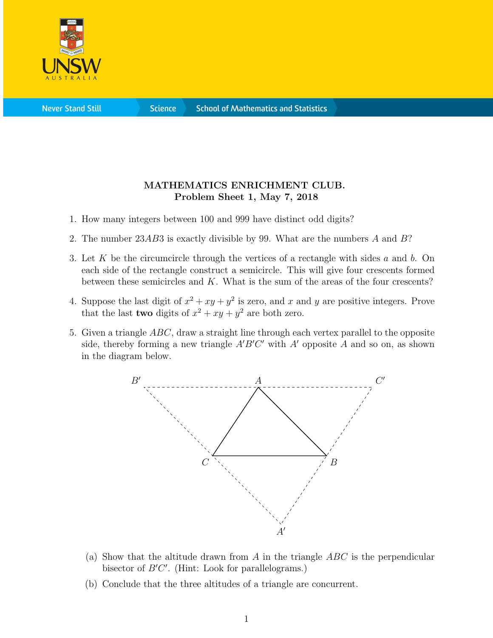

**Science** 

## MATHEMATICS ENRICHMENT CLUB. Problem Sheet 1, May 7, 2018

- 1. How many integers between 100 and 999 have distinct odd digits?
- 2. The number 23AB3 is exactly divisible by 99. What are the numbers A and B?
- 3. Let K be the circumcircle through the vertices of a rectangle with sides a and b. On each side of the rectangle construct a semicircle. This will give four crescents formed between these semicircles and  $K$ . What is the sum of the areas of the four crescents?
- 4. Suppose the last digit of  $x^2 + xy + y^2$  is zero, and x and y are positive integers. Prove that the last **two** digits of  $x^2 + xy + y^2$  are both zero.
- 5. Given a triangle  $ABC$ , draw a straight line through each vertex parallel to the opposite side, thereby forming a new triangle  $A'B'C'$  with  $A'$  opposite  $A$  and so on, as shown in the diagram below.



- (a) Show that the altitude drawn from A in the triangle  $ABC$  is the perpendicular bisector of  $B'C'$ . (Hint: Look for parallelograms.)
- (b) Conclude that the three altitudes of a triangle are concurrent.